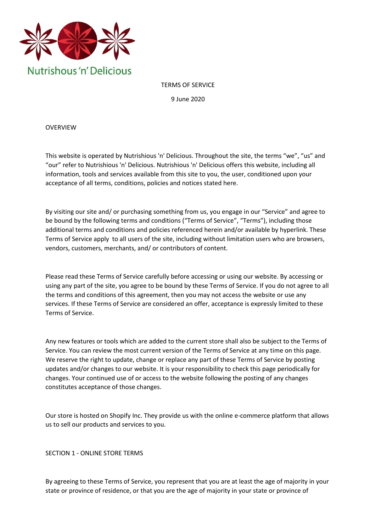

TERMS OF SERVICE

9 June 2020

OVERVIEW

This website is operated by Nutrishious 'n' Delicious. Throughout the site, the terms "we", "us" and "our" refer to Nutrishious 'n' Delicious. Nutrishious 'n' Delicious offers this website, including all information, tools and services available from this site to you, the user, conditioned upon your acceptance of all terms, conditions, policies and notices stated here.

By visiting our site and/ or purchasing something from us, you engage in our "Service" and agree to be bound by the following terms and conditions ("Terms of Service", "Terms"), including those additional terms and conditions and policies referenced herein and/or available by hyperlink. These Terms of Service apply to all users of the site, including without limitation users who are browsers, vendors, customers, merchants, and/ or contributors of content.

Please read these Terms of Service carefully before accessing or using our website. By accessing or using any part of the site, you agree to be bound by these Terms of Service. If you do not agree to all the terms and conditions of this agreement, then you may not access the website or use any services. If these Terms of Service are considered an offer, acceptance is expressly limited to these Terms of Service.

Any new features or tools which are added to the current store shall also be subject to the Terms of Service. You can review the most current version of the Terms of Service at any time on this page. We reserve the right to update, change or replace any part of these Terms of Service by posting updates and/or changes to our website. It is your responsibility to check this page periodically for changes. Your continued use of or access to the website following the posting of any changes constitutes acceptance of those changes.

Our store is hosted on Shopify Inc. They provide us with the online e-commerce platform that allows us to sell our products and services to you.

## SECTION 1 - ONLINE STORE TERMS

By agreeing to these Terms of Service, you represent that you are at least the age of majority in your state or province of residence, or that you are the age of majority in your state or province of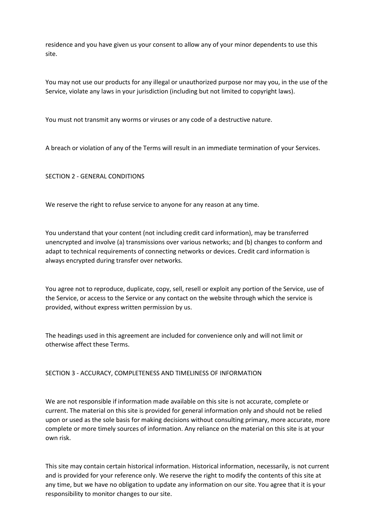residence and you have given us your consent to allow any of your minor dependents to use this site.

You may not use our products for any illegal or unauthorized purpose nor may you, in the use of the Service, violate any laws in your jurisdiction (including but not limited to copyright laws).

You must not transmit any worms or viruses or any code of a destructive nature.

A breach or violation of any of the Terms will result in an immediate termination of your Services.

SECTION 2 - GENERAL CONDITIONS

We reserve the right to refuse service to anyone for any reason at any time.

You understand that your content (not including credit card information), may be transferred unencrypted and involve (a) transmissions over various networks; and (b) changes to conform and adapt to technical requirements of connecting networks or devices. Credit card information is always encrypted during transfer over networks.

You agree not to reproduce, duplicate, copy, sell, resell or exploit any portion of the Service, use of the Service, or access to the Service or any contact on the website through which the service is provided, without express written permission by us.

The headings used in this agreement are included for convenience only and will not limit or otherwise affect these Terms.

#### SECTION 3 - ACCURACY, COMPLETENESS AND TIMELINESS OF INFORMATION

We are not responsible if information made available on this site is not accurate, complete or current. The material on this site is provided for general information only and should not be relied upon or used as the sole basis for making decisions without consulting primary, more accurate, more complete or more timely sources of information. Any reliance on the material on this site is at your own risk.

This site may contain certain historical information. Historical information, necessarily, is not current and is provided for your reference only. We reserve the right to modify the contents of this site at any time, but we have no obligation to update any information on our site. You agree that it is your responsibility to monitor changes to our site.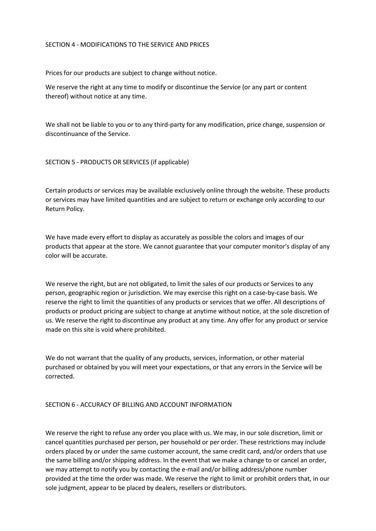#### SECTION 4 - MODIFICATIONS TO THE SERVICE AND PRICES

Prices for our products are subject to change without notice.

We reserve the right at any time to modify or discontinue the Service (or any part or content thereof) without notice at any time.

We shall not be liable to you or to any third-party for any modification, price change, suspension or discontinuance of the Service.

SECTION 5 - PRODUCTS OR SERVICES (if applicable)

Certain products or services may be available exclusively online through the website. These products or services may have limited quantities and are subject to return or exchange only according to our Return Policy.

We have made every effort to display as accurately as possible the colors and images of our products that appear at the store. We cannot guarantee that your computer monitor's display of any color will be accurate.

We reserve the right, but are not obligated, to limit the sales of our products or Services to any person, geographic region or jurisdiction. We may exercise this right on a case-by-case basis. We reserve the right to limit the quantities of any products or services that we offer. All descriptions of products or product pricing are subject to change at anytime without notice, at the sole discretion of us. We reserve the right to discontinue any product at any time. Any offer for any product or service made on this site is void where prohibited.

We do not warrant that the quality of any products, services, information, or other material purchased or obtained by you will meet your expectations, or that any errors in the Service will be corrected.

#### SECTION 6 - ACCURACY OF BILLING AND ACCOUNT INFORMATION

We reserve the right to refuse any order you place with us. We may, in our sole discretion, limit or cancel quantities purchased per person, per household or per order. These restrictions may include orders placed by or under the same customer account, the same credit card, and/or orders that use the same billing and/or shipping address. In the event that we make a change to or cancel an order, we may attempt to notify you by contacting the e-mail and/or billing address/phone number provided at the time the order was made. We reserve the right to limit or prohibit orders that, in our sole judgment, appear to be placed by dealers, resellers or distributors.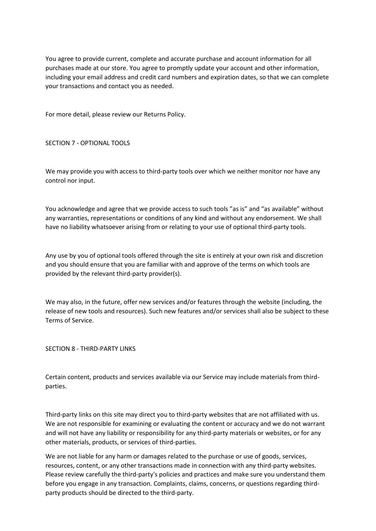You agree to provide current, complete and accurate purchase and account information for all purchases made at our store. You agree to promptly update your account and other information, including your email address and credit card numbers and expiration dates, so that we can complete your transactions and contact you as needed.

For more detail, please review our Returns Policy.

SECTION 7 - OPTIONAL TOOLS

We may provide you with access to third-party tools over which we neither monitor nor have any control nor input.

You acknowledge and agree that we provide access to such tools "as is" and "as available" without any warranties, representations or conditions of any kind and without any endorsement. We shall have no liability whatsoever arising from or relating to your use of optional third-party tools.

Any use by you of optional tools offered through the site is entirely at your own risk and discretion and you should ensure that you are familiar with and approve of the terms on which tools are provided by the relevant third-party provider(s).

We may also, in the future, offer new services and/or features through the website (including, the release of new tools and resources). Such new features and/or services shall also be subject to these Terms of Service.

SECTION 8 - THIRD-PARTY LINKS

Certain content, products and services available via our Service may include materials from thirdparties.

Third-party links on this site may direct you to third-party websites that are not affiliated with us. We are not responsible for examining or evaluating the content or accuracy and we do not warrant and will not have any liability or responsibility for any third-party materials or websites, or for any other materials, products, or services of third-parties.

We are not liable for any harm or damages related to the purchase or use of goods, services, resources, content, or any other transactions made in connection with any third-party websites. Please review carefully the third-party's policies and practices and make sure you understand them before you engage in any transaction. Complaints, claims, concerns, or questions regarding thirdparty products should be directed to the third-party.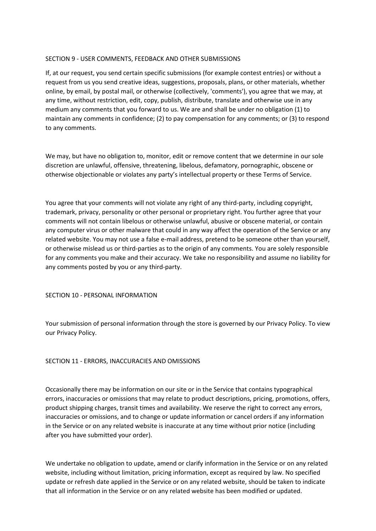# SECTION 9 - USER COMMENTS, FEEDBACK AND OTHER SUBMISSIONS

If, at our request, you send certain specific submissions (for example contest entries) or without a request from us you send creative ideas, suggestions, proposals, plans, or other materials, whether online, by email, by postal mail, or otherwise (collectively, 'comments'), you agree that we may, at any time, without restriction, edit, copy, publish, distribute, translate and otherwise use in any medium any comments that you forward to us. We are and shall be under no obligation (1) to maintain any comments in confidence; (2) to pay compensation for any comments; or (3) to respond to any comments.

We may, but have no obligation to, monitor, edit or remove content that we determine in our sole discretion are unlawful, offensive, threatening, libelous, defamatory, pornographic, obscene or otherwise objectionable or violates any party's intellectual property or these Terms of Service.

You agree that your comments will not violate any right of any third-party, including copyright, trademark, privacy, personality or other personal or proprietary right. You further agree that your comments will not contain libelous or otherwise unlawful, abusive or obscene material, or contain any computer virus or other malware that could in any way affect the operation of the Service or any related website. You may not use a false e-mail address, pretend to be someone other than yourself, or otherwise mislead us or third-parties as to the origin of any comments. You are solely responsible for any comments you make and their accuracy. We take no responsibility and assume no liability for any comments posted by you or any third-party.

## SECTION 10 - PERSONAL INFORMATION

Your submission of personal information through the store is governed by our Privacy Policy. To view our Privacy Policy.

## SECTION 11 - ERRORS, INACCURACIES AND OMISSIONS

Occasionally there may be information on our site or in the Service that contains typographical errors, inaccuracies or omissions that may relate to product descriptions, pricing, promotions, offers, product shipping charges, transit times and availability. We reserve the right to correct any errors, inaccuracies or omissions, and to change or update information or cancel orders if any information in the Service or on any related website is inaccurate at any time without prior notice (including after you have submitted your order).

We undertake no obligation to update, amend or clarify information in the Service or on any related website, including without limitation, pricing information, except as required by law. No specified update or refresh date applied in the Service or on any related website, should be taken to indicate that all information in the Service or on any related website has been modified or updated.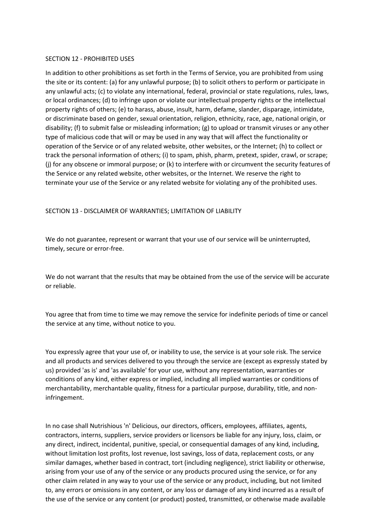#### SECTION 12 - PROHIBITED USES

In addition to other prohibitions as set forth in the Terms of Service, you are prohibited from using the site or its content: (a) for any unlawful purpose; (b) to solicit others to perform or participate in any unlawful acts; (c) to violate any international, federal, provincial or state regulations, rules, laws, or local ordinances; (d) to infringe upon or violate our intellectual property rights or the intellectual property rights of others; (e) to harass, abuse, insult, harm, defame, slander, disparage, intimidate, or discriminate based on gender, sexual orientation, religion, ethnicity, race, age, national origin, or disability; (f) to submit false or misleading information; (g) to upload or transmit viruses or any other type of malicious code that will or may be used in any way that will affect the functionality or operation of the Service or of any related website, other websites, or the Internet; (h) to collect or track the personal information of others; (i) to spam, phish, pharm, pretext, spider, crawl, or scrape; (j) for any obscene or immoral purpose; or (k) to interfere with or circumvent the security features of the Service or any related website, other websites, or the Internet. We reserve the right to terminate your use of the Service or any related website for violating any of the prohibited uses.

## SECTION 13 - DISCLAIMER OF WARRANTIES; LIMITATION OF LIABILITY

We do not guarantee, represent or warrant that your use of our service will be uninterrupted, timely, secure or error-free.

We do not warrant that the results that may be obtained from the use of the service will be accurate or reliable.

You agree that from time to time we may remove the service for indefinite periods of time or cancel the service at any time, without notice to you.

You expressly agree that your use of, or inability to use, the service is at your sole risk. The service and all products and services delivered to you through the service are (except as expressly stated by us) provided 'as is' and 'as available' for your use, without any representation, warranties or conditions of any kind, either express or implied, including all implied warranties or conditions of merchantability, merchantable quality, fitness for a particular purpose, durability, title, and noninfringement.

In no case shall Nutrishious 'n' Delicious, our directors, officers, employees, affiliates, agents, contractors, interns, suppliers, service providers or licensors be liable for any injury, loss, claim, or any direct, indirect, incidental, punitive, special, or consequential damages of any kind, including, without limitation lost profits, lost revenue, lost savings, loss of data, replacement costs, or any similar damages, whether based in contract, tort (including negligence), strict liability or otherwise, arising from your use of any of the service or any products procured using the service, or for any other claim related in any way to your use of the service or any product, including, but not limited to, any errors or omissions in any content, or any loss or damage of any kind incurred as a result of the use of the service or any content (or product) posted, transmitted, or otherwise made available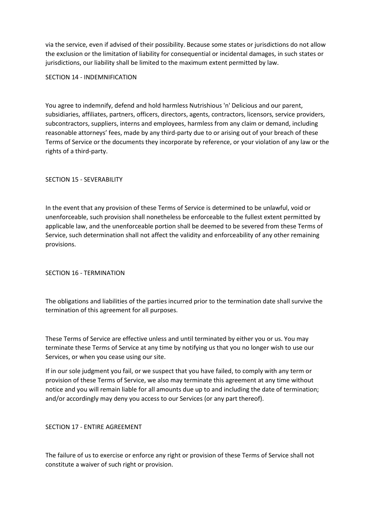via the service, even if advised of their possibility. Because some states or jurisdictions do not allow the exclusion or the limitation of liability for consequential or incidental damages, in such states or jurisdictions, our liability shall be limited to the maximum extent permitted by law.

SECTION 14 - INDEMNIFICATION

You agree to indemnify, defend and hold harmless Nutrishious 'n' Delicious and our parent, subsidiaries, affiliates, partners, officers, directors, agents, contractors, licensors, service providers, subcontractors, suppliers, interns and employees, harmless from any claim or demand, including reasonable attorneys' fees, made by any third-party due to or arising out of your breach of these Terms of Service or the documents they incorporate by reference, or your violation of any law or the rights of a third-party.

## SECTION 15 - SEVERABILITY

In the event that any provision of these Terms of Service is determined to be unlawful, void or unenforceable, such provision shall nonetheless be enforceable to the fullest extent permitted by applicable law, and the unenforceable portion shall be deemed to be severed from these Terms of Service, such determination shall not affect the validity and enforceability of any other remaining provisions.

SECTION 16 - TERMINATION

The obligations and liabilities of the parties incurred prior to the termination date shall survive the termination of this agreement for all purposes.

These Terms of Service are effective unless and until terminated by either you or us. You may terminate these Terms of Service at any time by notifying us that you no longer wish to use our Services, or when you cease using our site.

If in our sole judgment you fail, or we suspect that you have failed, to comply with any term or provision of these Terms of Service, we also may terminate this agreement at any time without notice and you will remain liable for all amounts due up to and including the date of termination; and/or accordingly may deny you access to our Services (or any part thereof).

## SECTION 17 - ENTIRE AGREEMENT

The failure of us to exercise or enforce any right or provision of these Terms of Service shall not constitute a waiver of such right or provision.